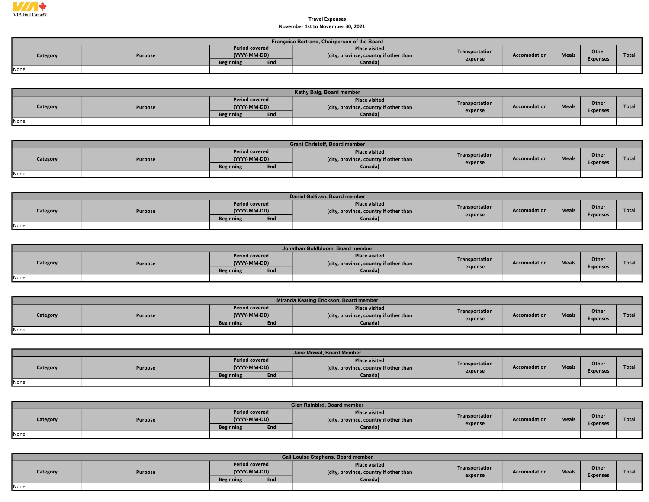

## November 1st to November 30, 2021 Travel Expenses

|          | Françoise Bertrand, Chairperson of the Board |                                       |     |                                                                |                |              |              |                 |       |  |  |  |  |  |
|----------|----------------------------------------------|---------------------------------------|-----|----------------------------------------------------------------|----------------|--------------|--------------|-----------------|-------|--|--|--|--|--|
| Category | Purpose                                      | <b>Period covered</b><br>(YYYY-MM-DD) |     | <b>Place visited</b><br>(city, province, country if other than | Transportation | Accomodation | <b>Meals</b> | Other           | Total |  |  |  |  |  |
|          |                                              | <b>Beginning</b>                      | End | Canada <sup>)</sup>                                            | expense        |              |              | <b>Expenses</b> |       |  |  |  |  |  |
| None     |                                              |                                       |     |                                                                |                |              |              |                 |       |  |  |  |  |  |

|          |         |                                       |     | Kathy Baig, Board member                                       |                           |                     |              |                          |              |
|----------|---------|---------------------------------------|-----|----------------------------------------------------------------|---------------------------|---------------------|--------------|--------------------------|--------------|
| Category | Purpose | <b>Period covered</b><br>(YYYY-MM-DD) |     | <b>Place visited</b><br>(city, province, country if other than | Transportation<br>expense | <b>Accomodation</b> | <b>Meals</b> | Other<br><b>Expenses</b> | <b>Total</b> |
|          |         | <b>Beginning</b>                      | End | Canada)                                                        |                           |                     |              |                          |              |
| None     |         |                                       |     |                                                                |                           |                     |              |                          |              |

|          |                |                                       |     | <b>Grant Christoff, Board member</b>                           |                |              |              |                          |              |
|----------|----------------|---------------------------------------|-----|----------------------------------------------------------------|----------------|--------------|--------------|--------------------------|--------------|
| Category | <b>Purpose</b> | <b>Period covered</b><br>(YYYY-MM-DD) |     | <b>Place visited</b><br>(city, province, country if other than | Transportation | Accomodation | <b>Meals</b> | Other<br><b>Expenses</b> | <b>Total</b> |
|          |                | <b>Beginning</b>                      | End | Canada)                                                        | expense        |              |              |                          |              |
| None     |                |                                       |     |                                                                |                |              |              |                          |              |

|          |         |                                       |     | Daniel Gallivan, Board member                                  |                |              |              |                 |              |
|----------|---------|---------------------------------------|-----|----------------------------------------------------------------|----------------|--------------|--------------|-----------------|--------------|
| Category | Purpose | <b>Period covered</b><br>(YYYY-MM-DD) |     | <b>Place visited</b><br>(city, province, country if other than | Transportation | Accomodation | <b>Meals</b> | Other           | <b>Total</b> |
|          |         | <b>Beginning</b>                      | End | Canada)                                                        | expense        |              |              | <b>Expenses</b> |              |
| None     |         |                                       |     |                                                                |                |              |              |                 |              |

|          |                |                                       |     | Jonathan Goldbloom, Board member                               |                |                     |              |                 |              |
|----------|----------------|---------------------------------------|-----|----------------------------------------------------------------|----------------|---------------------|--------------|-----------------|--------------|
| Category | <b>Purpose</b> | <b>Period covered</b><br>(YYYY-MM-DD) |     | <b>Place visited</b><br>(city, province, country if other than | Transportation | <b>Accomodation</b> | <b>Meals</b> | Other           | <b>Total</b> |
|          |                | <b>Beginning</b>                      | End | Canada)                                                        | expense        |                     |              | <b>Expenses</b> |              |
| None     |                |                                       |     |                                                                |                |                     |              |                 |              |

|          |         |                                       |     | Miranda Keating Erickson, Board member                         |                |              |              |                 |              |
|----------|---------|---------------------------------------|-----|----------------------------------------------------------------|----------------|--------------|--------------|-----------------|--------------|
| Category | Purpose | <b>Period covered</b><br>(YYYY-MM-DD) |     | <b>Place visited</b><br>(city, province, country if other than | Transportation | Accomodation | <b>Meals</b> | Other           | <b>Total</b> |
|          |         | <b>Beginning</b>                      | End | Canada)                                                        | expense        |              |              | <b>Expenses</b> |              |
| None     |         |                                       |     |                                                                |                |              |              |                 |              |

|          |         |                                       | Jane Mowat. Board Member                                       |                |              |              |                 |              |
|----------|---------|---------------------------------------|----------------------------------------------------------------|----------------|--------------|--------------|-----------------|--------------|
| Category | Purpose | <b>Period covered</b><br>(YYYY-MM-DD) | <b>Place visited</b><br>(city, province, country if other than | Transportation | Accomodation | <b>Meals</b> | Other           | <b>Total</b> |
|          |         | <b>Beginning</b><br>End               | Canada)                                                        | expense        |              |              | <b>Expenses</b> |              |
| None     |         |                                       |                                                                |                |              |              |                 |              |

|          |         |                                       |     | Glen Rainbird, Board member                                    |                |                     |              |                 |              |
|----------|---------|---------------------------------------|-----|----------------------------------------------------------------|----------------|---------------------|--------------|-----------------|--------------|
| Category | Purpose | <b>Period covered</b><br>(YYYY-MM-DD) |     | <b>Place visited</b><br>(city, province, country if other than | Transportation | <b>Accomodation</b> | <b>Meals</b> | Other           | <b>Total</b> |
|          |         | <b>Beginning</b>                      | End | Canada)                                                        | expense        |                     |              | <b>Expenses</b> |              |
| None     |         |                                       |     |                                                                |                |                     |              |                 |              |

|          | Gail Louise Stephens, Board member |                                       |     |                                                                |                |                     |              |                 |              |  |  |  |  |
|----------|------------------------------------|---------------------------------------|-----|----------------------------------------------------------------|----------------|---------------------|--------------|-----------------|--------------|--|--|--|--|
| Category | Purpose                            | <b>Period covered</b><br>(YYYY-MM-DD) |     | <b>Place visited</b><br>(city, province, country if other than | Transportation | <b>Accomodation</b> | <b>Meals</b> | <b>Other</b>    | <b>Total</b> |  |  |  |  |
|          |                                    | <b>Beginning</b>                      | End | Canada)                                                        | expense        |                     |              | <b>Expenses</b> |              |  |  |  |  |
| None     |                                    |                                       |     |                                                                |                |                     |              |                 |              |  |  |  |  |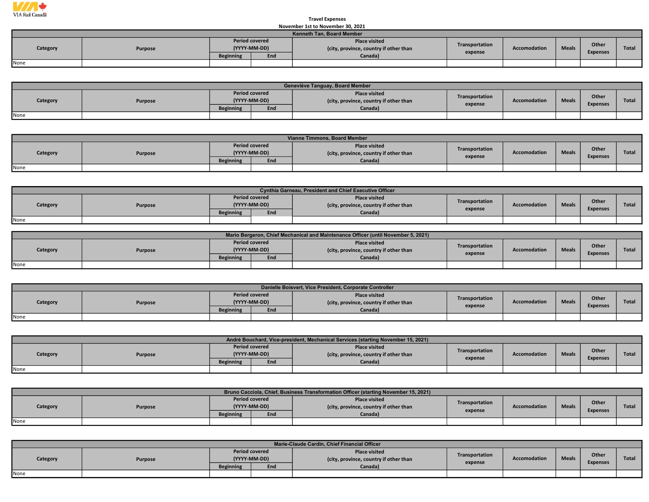

## November 1st to November 30, 2021 Travel Expenses

|          | <b>NUVELLING LIST TO MUVELLING SU, ZUZI</b> |                                       |     |                                                                |                |              |              |                 |       |  |  |  |  |  |
|----------|---------------------------------------------|---------------------------------------|-----|----------------------------------------------------------------|----------------|--------------|--------------|-----------------|-------|--|--|--|--|--|
|          | Kenneth Tan, Board Member                   |                                       |     |                                                                |                |              |              |                 |       |  |  |  |  |  |
| Category | Purpose                                     | <b>Period covered</b><br>(YYYY-MM-DD) |     | <b>Place visited</b><br>(city, province, country if other than | Transportation | Accomodation | <b>Meals</b> | Other           | Total |  |  |  |  |  |
|          |                                             | <b>Beginning</b>                      | End | Canada)                                                        | expense        |              |              | <b>Expenses</b> |       |  |  |  |  |  |
| None     |                                             |                                       |     |                                                                |                |              |              |                 |       |  |  |  |  |  |

|          | Geneviève Tanguay, Board Member |                                       |     |                                                                |                |                     |              |                          |              |  |  |  |  |
|----------|---------------------------------|---------------------------------------|-----|----------------------------------------------------------------|----------------|---------------------|--------------|--------------------------|--------------|--|--|--|--|
| Category | Purpose                         | <b>Period covered</b><br>(YYYY-MM-DD) |     | <b>Place visited</b><br>(city, province, country if other than | Transportation | <b>Accomodation</b> | <b>Meals</b> | Other<br><b>Expenses</b> | <b>Total</b> |  |  |  |  |
|          |                                 | <b>Beginning</b>                      | End | Canada)                                                        | expense        |                     |              |                          |              |  |  |  |  |
| None     |                                 |                                       |     |                                                                |                |                     |              |                          |              |  |  |  |  |

|          |                |                                       |     | Vianne Timmons, Board Member                                   |                |                     |              |                 |              |
|----------|----------------|---------------------------------------|-----|----------------------------------------------------------------|----------------|---------------------|--------------|-----------------|--------------|
| Category | <b>Purpose</b> | <b>Period covered</b><br>(YYYY-MM-DD) |     | <b>Place visited</b><br>(city, province, country if other than | Transportation | <b>Accomodation</b> | <b>Meals</b> | Other           | <b>Total</b> |
|          |                | <b>Beginning</b>                      | End | Canada)                                                        | expense        |                     |              | <b>Expenses</b> |              |
| None     |                |                                       |     |                                                                |                |                     |              |                 |              |

|          | Cynthia Garneau, President and Chief Executive Officer |                                       |     |                                                                |                |              |              |                          |              |  |  |  |  |
|----------|--------------------------------------------------------|---------------------------------------|-----|----------------------------------------------------------------|----------------|--------------|--------------|--------------------------|--------------|--|--|--|--|
| Category | Purpose                                                | <b>Period covered</b><br>(YYYY-MM-DD) |     | <b>Place visited</b><br>(city, province, country if other than | Transportation | Accomodation | <b>Meals</b> | Other<br><b>Expenses</b> | <b>Total</b> |  |  |  |  |
|          |                                                        | <b>Beginning</b>                      | End | Canada)                                                        | expense        |              |              |                          |              |  |  |  |  |
| None     |                                                        |                                       |     |                                                                |                |              |              |                          |              |  |  |  |  |

|          | Mario Bergeron, Chief Mechanical and Maintenance Officer (until November 5, 2021) |                                       |     |                                                                |                |              |              |                 |              |  |  |  |  |
|----------|-----------------------------------------------------------------------------------|---------------------------------------|-----|----------------------------------------------------------------|----------------|--------------|--------------|-----------------|--------------|--|--|--|--|
| Category | Purpose                                                                           | <b>Period covered</b><br>(YYYY-MM-DD) |     | <b>Place visited</b><br>(city, province, country if other than | Transportation | Accomodation | <b>Meals</b> | Other           | <b>Total</b> |  |  |  |  |
|          |                                                                                   | <b>Beginning</b>                      | End | Canada)                                                        | expense        |              |              | <b>Expenses</b> |              |  |  |  |  |
| None     |                                                                                   |                                       |     |                                                                |                |              |              |                 |              |  |  |  |  |

|          | Danielle Boisvert, Vice President, Corporate Controller |                  |                                       |                                                                |                           |              |              |                 |              |  |  |  |  |
|----------|---------------------------------------------------------|------------------|---------------------------------------|----------------------------------------------------------------|---------------------------|--------------|--------------|-----------------|--------------|--|--|--|--|
| Category | Purpose                                                 |                  | <b>Period covered</b><br>(YYYY-MM-DD) | <b>Place visited</b><br>(city, province, country if other than | Transportation<br>expense | Accomodation | <b>Meals</b> | Other           | <b>Total</b> |  |  |  |  |
|          |                                                         | <b>Beginning</b> | End                                   | Canada)                                                        |                           |              |              | <b>Expenses</b> |              |  |  |  |  |
| None     |                                                         |                  |                                       |                                                                |                           |              |              |                 |              |  |  |  |  |

|          | André Bouchard, Vice-president, Mechanical Services (starting November 15, 2021) |                  |                                       |                                                                |                |                     |              |                 |              |  |  |  |  |
|----------|----------------------------------------------------------------------------------|------------------|---------------------------------------|----------------------------------------------------------------|----------------|---------------------|--------------|-----------------|--------------|--|--|--|--|
| Category | Purpose                                                                          |                  | <b>Period covered</b><br>(YYYY-MM-DD) | <b>Place visited</b><br>(city, province, country if other than | Transportation | <b>Accomodation</b> | <b>Meals</b> | Other           | <b>Total</b> |  |  |  |  |
|          |                                                                                  | <b>Beginning</b> | End                                   | Canada)                                                        | expense        |                     |              | <b>Expenses</b> |              |  |  |  |  |
| None     |                                                                                  |                  |                                       |                                                                |                |                     |              |                 |              |  |  |  |  |

|          | Bruno Cacciola, Chief, Business Transformation Officer (starting November 15, 2021) |                  |                                       |                                                                |                |                     |              |                          |       |  |  |  |  |
|----------|-------------------------------------------------------------------------------------|------------------|---------------------------------------|----------------------------------------------------------------|----------------|---------------------|--------------|--------------------------|-------|--|--|--|--|
| Category | Purpose                                                                             |                  | <b>Period covered</b><br>(YYYY-MM-DD) | <b>Place visited</b><br>(city, province, country if other than | Transportation | <b>Accomodation</b> | <b>Meals</b> | Other<br><b>Expenses</b> | Total |  |  |  |  |
|          |                                                                                     | <b>Beginning</b> | Enc                                   | Canada)                                                        | expense        |                     |              |                          |       |  |  |  |  |
| None     |                                                                                     |                  |                                       |                                                                |                |                     |              |                          |       |  |  |  |  |

|          | Marie-Claude Cardin, Chief Financial Officer |                                       |     |                                                                |                |              |              |                 |              |  |  |  |  |
|----------|----------------------------------------------|---------------------------------------|-----|----------------------------------------------------------------|----------------|--------------|--------------|-----------------|--------------|--|--|--|--|
| Category | Purpose                                      | <b>Period covered</b><br>(YYYY-MM-DD) |     | <b>Place visited</b><br>(city, province, country if other than | Transportation | Accomodation | <b>Meals</b> | Other           | <b>Total</b> |  |  |  |  |
|          |                                              | <b>Beginning</b>                      | End | Canada)                                                        | expense        |              |              | <b>Expenses</b> |              |  |  |  |  |
| None     |                                              |                                       |     |                                                                |                |              |              |                 |              |  |  |  |  |